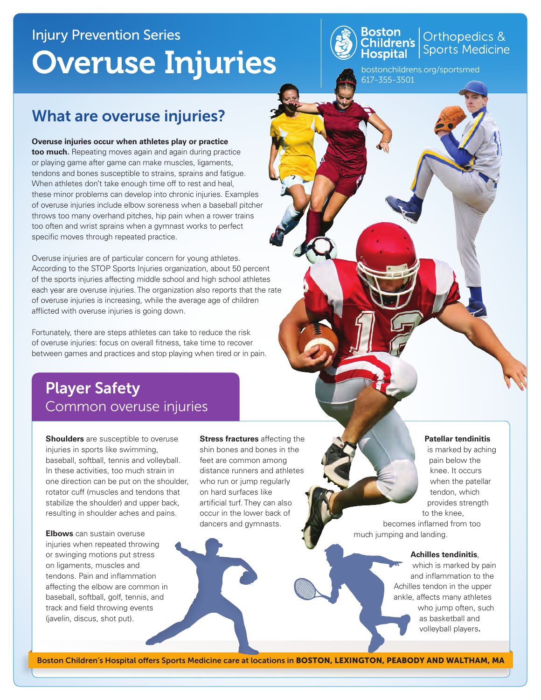# Injury Prevention Series Overuse Injuries



**Boston**<br>Children's Sports Medicine<br>**Hospital** Sports Medicine

bostonchildrens.org/sportsmed 617-355-3501

## What are overuse injuries?

**Overuse injuries occur when athletes play or practice** 

**too much.** Repeating moves again and again during practice or playing game after game can make muscles, ligaments, tendons and bones susceptible to strains, sprains and fatigue. When athletes don't take enough time off to rest and heal, these minor problems can develop into chronic injuries. Examples of overuse injuries include elbow soreness when a baseball pitcher throws too many overhand pitches, hip pain when a rower trains too often and wrist sprains when a gymnast works to perfect specific moves through repeated practice.

Overuse injuries are of particular concern for young athletes. According to the STOP Sports Injuries organization, about 50 percent of the sports injuries affecting middle school and high school athletes each year are overuse injuries. The organization also reports that the rate of overuse injuries is increasing, while the average age of children afflicted with overuse injuries is going down.

Fortunately, there are steps athletes can take to reduce the risk of overuse injuries: focus on overall fitness, take time to recover between games and practices and stop playing when tired or in pain.

### Player Safety Common overuse injuries

**Shoulders** are susceptible to overuse injuries in sports like swimming, baseball, softball, tennis and volleyball. In these activities, too much strain in one direction can be put on the shoulder, rotator cuff (muscles and tendons that stabilize the shoulder) and upper back, resulting in shoulder aches and pains.

**Elbows** can sustain overuse injuries when repeated throwing or swinging motions put stress on ligaments, muscles and tendons. Pain and inflammation affecting the elbow are common in baseball, softball, golf, tennis, and track and field throwing events (javelin, discus, shot put).

**Stress fractures** affecting the shin bones and bones in the feet are common among distance runners and athletes who run or jump regularly on hard surfaces like artificial turf. They can also occur in the lower back of dancers and gymnasts.

**Patellar tendinitis**

is marked by aching pain below the knee. It occurs when the patellar tendon, which provides strength to the knee,

becomes inflamed from too much jumping and landing.

#### **Achilles tendinitis**,

which is marked by pain and inflammation to the Achilles tendon in the upper ankle, affects many athletes who jump often, such as basketball and volleyball players**.**

Boston Children's Hospital offers Sports Medicine care at locations in BOSTON, LEXINGTON, PEABODY AND WALTHAM, MA